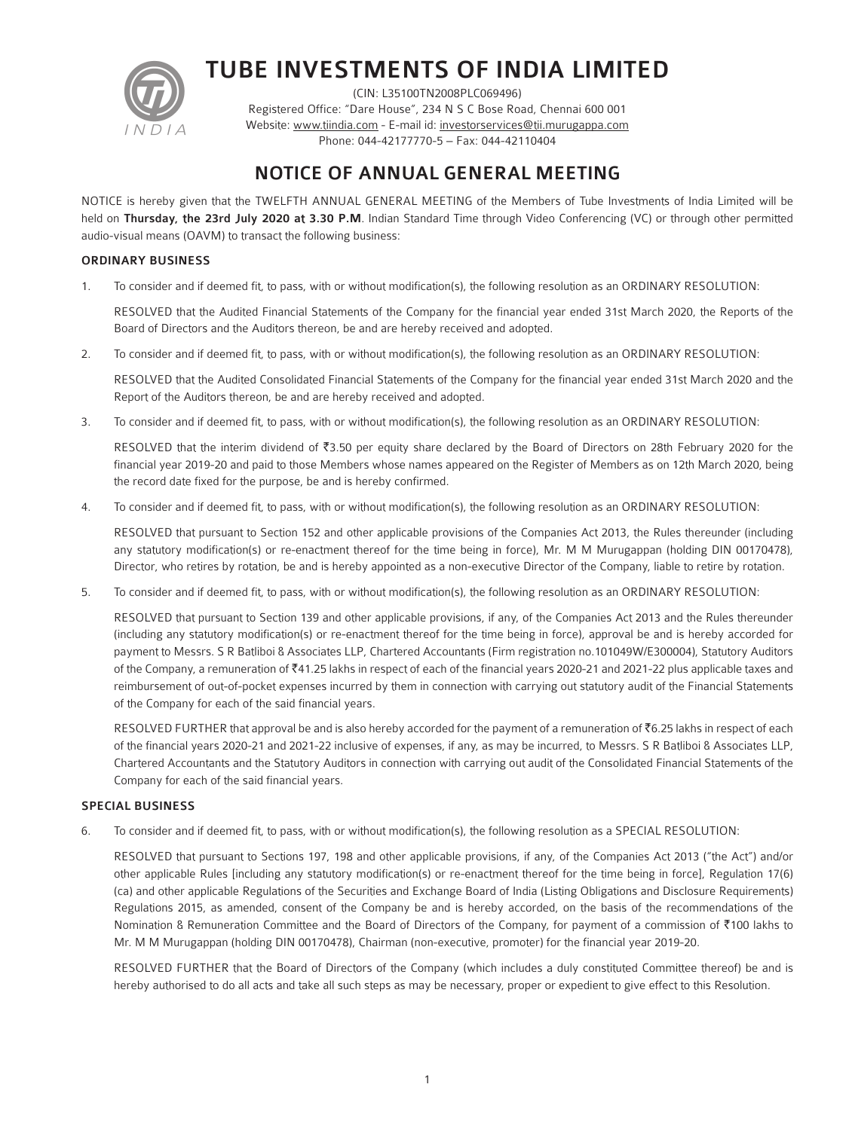

# TUBE INVESTMENTS OF INDIA LIMITED

(CIN: L35100TN2008PLC069496) Registered Office: "Dare House", 234 N S C Bose Road, Chennai 600 001 Website: www.tiindia.com - E-mail id: investorservices@tii.murugappa.com Phone: 044-42177770-5 – Fax: 044-42110404

## NOTICE OF ANNUAL GENERAL MEETING

NOTICE is hereby given that the TWELFTH ANNUAL GENERAL MEETING of the Members of Tube Investments of India Limited will be held on Thursday, the 23rd July 2020 at 3.30 P.M. Indian Standard Time through Video Conferencing (VC) or through other permitted audio-visual means (OAVM) to transact the following business:

## ORDINARY BUSINESS

1. To consider and if deemed fit, to pass, with or without modification(s), the following resolution as an ORDINARY RESOLUTION:

 RESOLVED that the Audited Financial Statements of the Company for the financial year ended 31st March 2020, the Reports of the Board of Directors and the Auditors thereon, be and are hereby received and adopted.

2. To consider and if deemed fit, to pass, with or without modification(s), the following resolution as an ORDINARY RESOLUTION:

 RESOLVED that the Audited Consolidated Financial Statements of the Company for the financial year ended 31st March 2020 and the Report of the Auditors thereon, be and are hereby received and adopted.

3. To consider and if deemed fit, to pass, with or without modification(s), the following resolution as an ORDINARY RESOLUTION:

RESOLVED that the interim dividend of ₹3.50 per equity share declared by the Board of Directors on 28th February 2020 for the financial year 2019-20 and paid to those Members whose names appeared on the Register of Members as on 12th March 2020, being the record date fixed for the purpose, be and is hereby confirmed.

4. To consider and if deemed fit, to pass, with or without modification(s), the following resolution as an ORDINARY RESOLUTION:

 RESOLVED that pursuant to Section 152 and other applicable provisions of the Companies Act 2013, the Rules thereunder (including any statutory modification(s) or re-enactment thereof for the time being in force), Mr. M M Murugappan (holding DIN 00170478), Director, who retires by rotation, be and is hereby appointed as a non-executive Director of the Company, liable to retire by rotation.

5. To consider and if deemed fit, to pass, with or without modification(s), the following resolution as an ORDINARY RESOLUTION:

 RESOLVED that pursuant to Section 139 and other applicable provisions, if any, of the Companies Act 2013 and the Rules thereunder (including any statutory modification(s) or re-enactment thereof for the time being in force), approval be and is hereby accorded for payment to Messrs. S R Batliboi & Associates LLP, Chartered Accountants (Firm registration no.101049W/E300004), Statutory Auditors of the Company, a remuneration of `41.25 lakhs in respect of each of the financial years 2020-21 and 2021-22 plus applicable taxes and reimbursement of out-of-pocket expenses incurred by them in connection with carrying out statutory audit of the Financial Statements of the Company for each of the said financial years.

RESOLVED FURTHER that approval be and is also hereby accorded for the payment of a remuneration of  $\bar{\tau}$ 6.25 lakhs in respect of each of the financial years 2020-21 and 2021-22 inclusive of expenses, if any, as may be incurred, to Messrs. S R Batliboi & Associates LLP, Chartered Accountants and the Statutory Auditors in connection with carrying out audit of the Consolidated Financial Statements of the Company for each of the said financial years.

## SPECIAL BUSINESS

6. To consider and if deemed fit, to pass, with or without modification(s), the following resolution as a SPECIAL RESOLUTION:

 RESOLVED that pursuant to Sections 197, 198 and other applicable provisions, if any, of the Companies Act 2013 ("the Act") and/or other applicable Rules [including any statutory modification(s) or re-enactment thereof for the time being in force], Regulation 17(6) (ca) and other applicable Regulations of the Securities and Exchange Board of India (Listing Obligations and Disclosure Requirements) Regulations 2015, as amended, consent of the Company be and is hereby accorded, on the basis of the recommendations of the Nomination & Remuneration Committee and the Board of Directors of the Company, for payment of a commission of ₹100 lakhs to Mr. M M Murugappan (holding DIN 00170478), Chairman (non-executive, promoter) for the financial year 2019-20.

 RESOLVED FURTHER that the Board of Directors of the Company (which includes a duly constituted Committee thereof) be and is hereby authorised to do all acts and take all such steps as may be necessary, proper or expedient to give effect to this Resolution.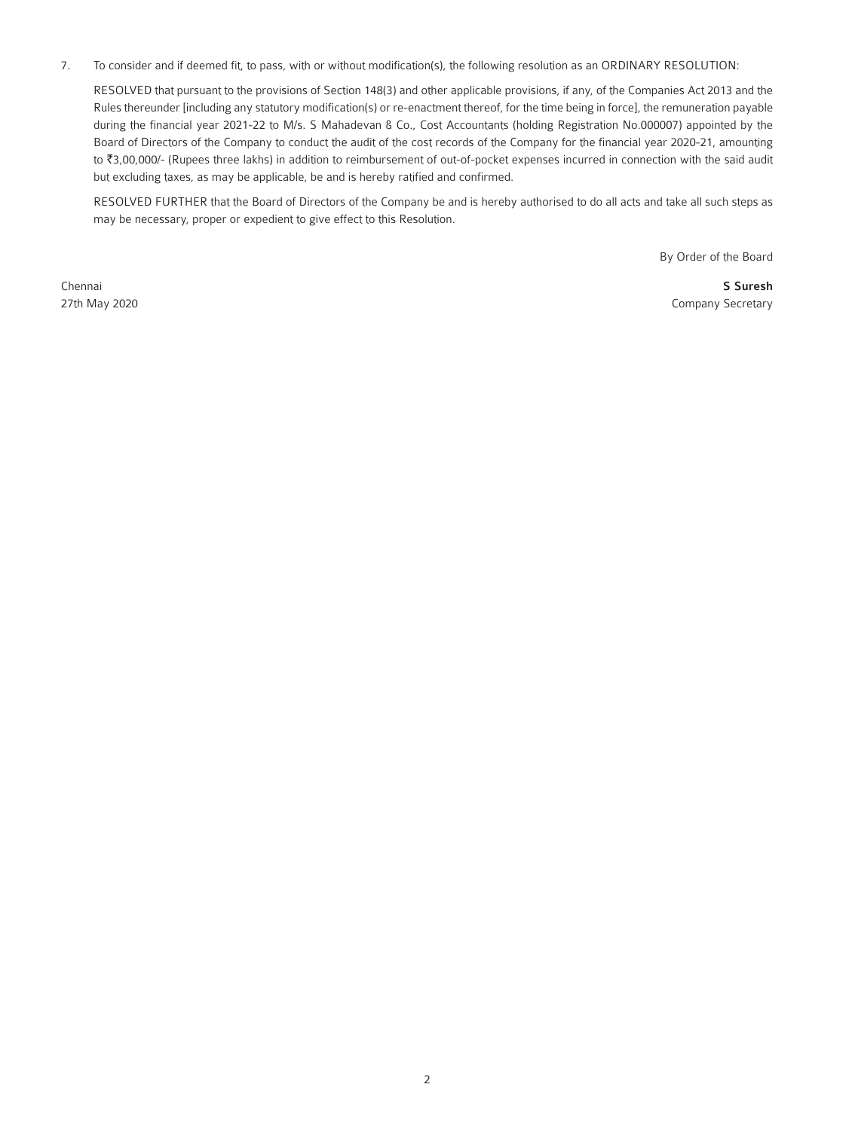7. To consider and if deemed fit, to pass, with or without modification(s), the following resolution as an ORDINARY RESOLUTION:

 RESOLVED that pursuant to the provisions of Section 148(3) and other applicable provisions, if any, of the Companies Act 2013 and the Rules thereunder [including any statutory modification(s) or re-enactment thereof, for the time being in force], the remuneration payable during the financial year 2021-22 to M/s. S Mahadevan & Co., Cost Accountants (holding Registration No.000007) appointed by the Board of Directors of the Company to conduct the audit of the cost records of the Company for the financial year 2020-21, amounting to `3,00,000/- (Rupees three lakhs) in addition to reimbursement of out-of-pocket expenses incurred in connection with the said audit but excluding taxes, as may be applicable, be and is hereby ratified and confirmed.

 RESOLVED FURTHER that the Board of Directors of the Company be and is hereby authorised to do all acts and take all such steps as may be necessary, proper or expedient to give effect to this Resolution.

By Order of the Board

Chennai **S Suresh and Search and Search and Search and S Suresh and S Suresh and S Suresh and S Suresh and S Suresh and S Suresh and S Suresh and S Suresh and S Suresh and S Suresh and S Suresh and S Suresh and S Suresh an** 27th May 2020 Company Secretary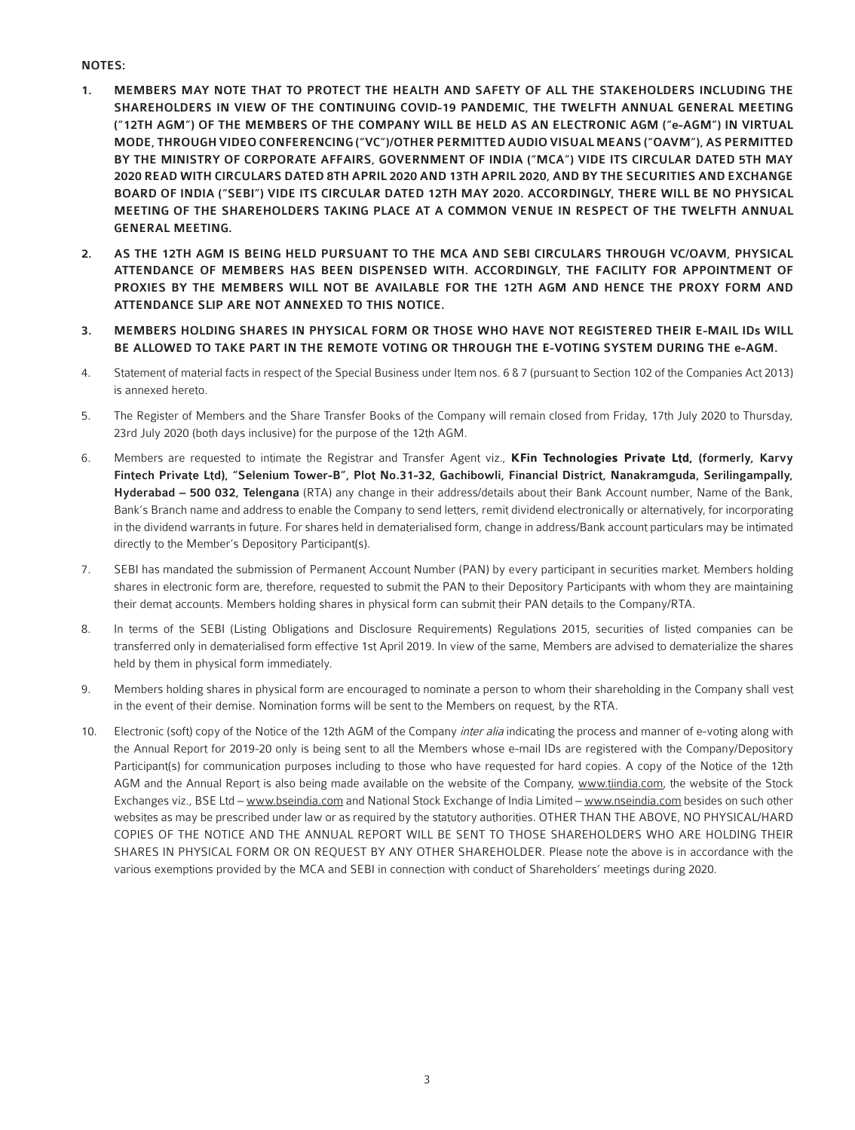## NOTES:

- 1. MEMBERS MAY NOTE THAT TO PROTECT THE HEALTH AND SAFETY OF ALL THE STAKEHOLDERS INCLUDING THE SHAREHOLDERS IN VIEW OF THE CONTINUING COVID-19 PANDEMIC, THE TWELFTH ANNUAL GENERAL MEETING ("12TH AGM") OF THE MEMBERS OF THE COMPANY WILL BE HELD AS AN ELECTRONIC AGM ("e-AGM") IN VIRTUAL MODE, THROUGH VIDEO CONFERENCING ("VC")/OTHER PERMITTED AUDIO VISUAL MEANS ("OAVM"), AS PERMITTED BY THE MINISTRY OF CORPORATE AFFAIRS, GOVERNMENT OF INDIA ("MCA") VIDE ITS CIRCULAR DATED 5TH MAY 2020 READ WITH CIRCULARS DATED 8TH APRIL 2020 AND 13TH APRIL 2020, AND BY THE SECURITIES AND EXCHANGE BOARD OF INDIA ("SEBI") VIDE ITS CIRCULAR DATED 12TH MAY 2020. ACCORDINGLY, THERE WILL BE NO PHYSICAL MEETING OF THE SHAREHOLDERS TAKING PLACE AT A COMMON VENUE IN RESPECT OF THE TWELFTH ANNUAL GENERAL MEETING.
- 2. AS THE 12TH AGM IS BEING HELD PURSUANT TO THE MCA AND SEBI CIRCULARS THROUGH VC/OAVM, PHYSICAL ATTENDANCE OF MEMBERS HAS BEEN DISPENSED WITH. ACCORDINGLY, THE FACILITY FOR APPOINTMENT OF PROXIES BY THE MEMBERS WILL NOT BE AVAILABLE FOR THE 12TH AGM AND HENCE THE PROXY FORM AND ATTENDANCE SLIP ARE NOT ANNEXED TO THIS NOTICE.
- 3. MEMBERS HOLDING SHARES IN PHYSICAL FORM OR THOSE WHO HAVE NOT REGISTERED THEIR E-MAIL IDs WILL BE ALLOWED TO TAKE PART IN THE REMOTE VOTING OR THROUGH THE E-VOTING SYSTEM DURING THE e-AGM.
- 4. Statement of material facts in respect of the Special Business under Item nos. 6 & 7 (pursuant to Section 102 of the Companies Act 2013) is annexed hereto.
- 5. The Register of Members and the Share Transfer Books of the Company will remain closed from Friday, 17th July 2020 to Thursday, 23rd July 2020 (both days inclusive) for the purpose of the 12th AGM.
- 6. Members are requested to intimate the Registrar and Transfer Agent viz., **KFin Technologies Private Ltd,** (formerly, Karvy Fintech Private Ltd), "Selenium Tower-B", Plot No.31-32, Gachibowli, Financial District, Nanakramguda, Serilingampally, Hyderabad - 500 032, Telengana (RTA) any change in their address/details about their Bank Account number, Name of the Bank, Bank's Branch name and address to enable the Company to send letters, remit dividend electronically or alternatively, for incorporating in the dividend warrants in future. For shares held in dematerialised form, change in address/Bank account particulars may be intimated directly to the Member's Depository Participant(s).
- 7. SEBI has mandated the submission of Permanent Account Number (PAN) by every participant in securities market. Members holding shares in electronic form are, therefore, requested to submit the PAN to their Depository Participants with whom they are maintaining their demat accounts. Members holding shares in physical form can submit their PAN details to the Company/RTA.
- 8. In terms of the SEBI (Listing Obligations and Disclosure Requirements) Regulations 2015, securities of listed companies can be transferred only in dematerialised form effective 1st April 2019. In view of the same, Members are advised to dematerialize the shares held by them in physical form immediately.
- 9. Members holding shares in physical form are encouraged to nominate a person to whom their shareholding in the Company shall vest in the event of their demise. Nomination forms will be sent to the Members on request, by the RTA.
- 10. Electronic (soft) copy of the Notice of the 12th AGM of the Company *inter alia* indicating the process and manner of e-voting along with the Annual Report for 2019-20 only is being sent to all the Members whose e-mail IDs are registered with the Company/Depository Participant(s) for communication purposes including to those who have requested for hard copies. A copy of the Notice of the 12th AGM and the Annual Report is also being made available on the website of the Company, www.tiindia.com, the website of the Stock Exchanges viz., BSE Ltd - www.bseindia.com and National Stock Exchange of India Limited - www.nseindia.com besides on such other websites as may be prescribed under law or as required by the statutory authorities. OTHER THAN THE ABOVE, NO PHYSICAL/HARD COPIES OF THE NOTICE AND THE ANNUAL REPORT WILL BE SENT TO THOSE SHAREHOLDERS WHO ARE HOLDING THEIR SHARES IN PHYSICAL FORM OR ON REQUEST BY ANY OTHER SHAREHOLDER. Please note the above is in accordance with the various exemptions provided by the MCA and SEBI in connection with conduct of Shareholders' meetings during 2020.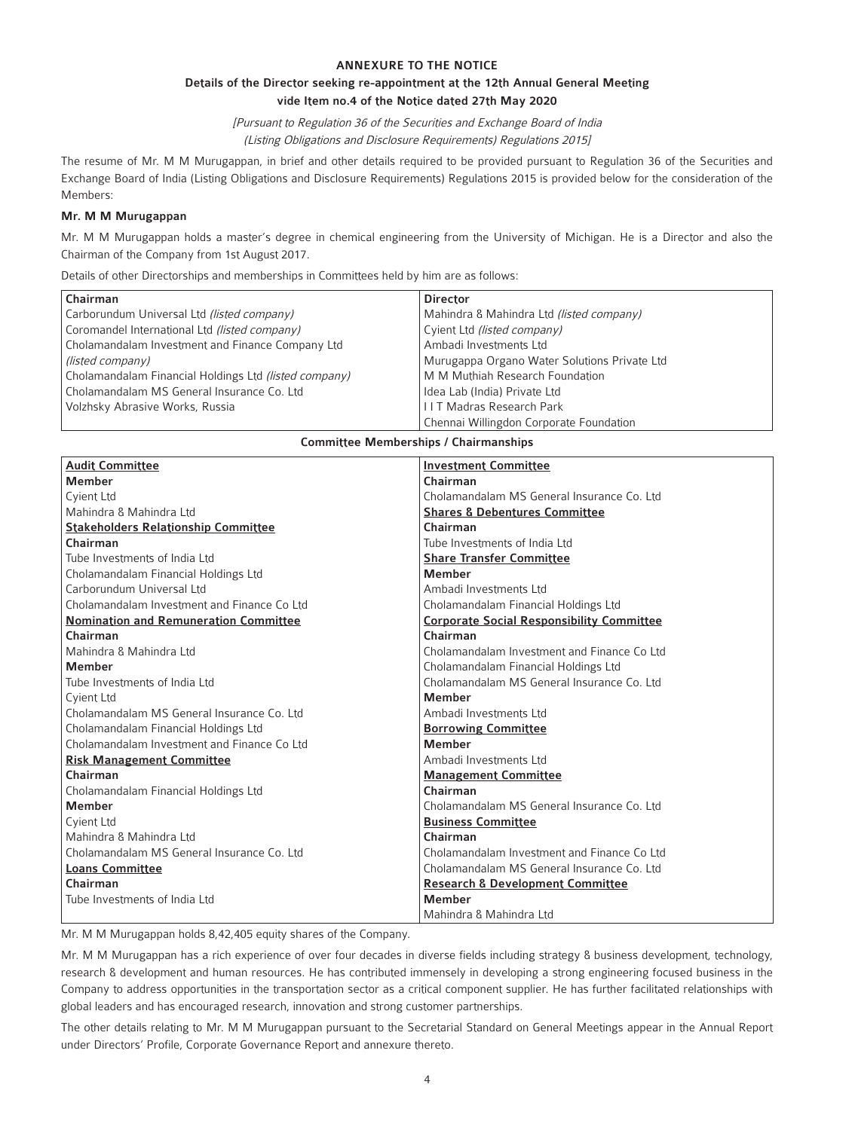#### ANNEXURE TO THE NOTICE

## Details of the Director seeking re-appointment at the 12th Annual General Meeting vide Item no.4 of the Notice dated 27th May 2020

[Pursuant to Regulation 36 of the Securities and Exchange Board of India

(Listing Obligations and Disclosure Requirements) Regulations 2015]

The resume of Mr. M M Murugappan, in brief and other details required to be provided pursuant to Regulation 36 of the Securities and Exchange Board of India (Listing Obligations and Disclosure Requirements) Regulations 2015 is provided below for the consideration of the Members:

#### Mr. M M Murugappan

Mr. M M Murugappan holds a master's degree in chemical engineering from the University of Michigan. He is a Director and also the Chairman of the Company from 1st August 2017.

Details of other Directorships and memberships in Committees held by him are as follows:

| Chairman                                              | <b>Director</b>                              |
|-------------------------------------------------------|----------------------------------------------|
| Carborundum Universal Ltd (listed company)            | Mahindra & Mahindra Ltd (listed company)     |
| Coromandel International Ltd (listed company)         | Cyient Ltd (listed company)                  |
| Cholamandalam Investment and Finance Company Ltd      | Ambadi Investments Ltd                       |
| (listed company)                                      | Murugappa Organo Water Solutions Private Ltd |
| Cholamandalam Financial Holdings Ltd (listed company) | M M Muthiah Research Foundation              |
| Cholamandalam MS General Insurance Co. Ltd            | Idea Lab (India) Private Ltd                 |
| Volzhsky Abrasive Works, Russia                       | <b>IIT Madras Research Park</b>              |
|                                                       | Chennai Willingdon Corporate Foundation      |

#### Committee Memberships / Chairmanships

| <b>Audit Committee</b>                       | <b>Investment Committee</b>                      |
|----------------------------------------------|--------------------------------------------------|
| <b>Member</b>                                | Chairman                                         |
| Cyient Ltd                                   | Cholamandalam MS General Insurance Co. Ltd       |
| Mahindra & Mahindra Ltd                      | <b>Shares &amp; Debentures Committee</b>         |
| <b>Stakeholders Relationship Committee</b>   | Chairman                                         |
| Chairman                                     | Tube Investments of India Ltd                    |
| Tube Investments of India Ltd                | <b>Share Transfer Committee</b>                  |
| Cholamandalam Financial Holdings Ltd         | <b>Member</b>                                    |
| Carborundum Universal Ltd                    | Ambadi Investments Ltd                           |
| Cholamandalam Investment and Finance Co Ltd  | Cholamandalam Financial Holdings Ltd             |
| <b>Nomination and Remuneration Committee</b> | <b>Corporate Social Responsibility Committee</b> |
| Chairman                                     | Chairman                                         |
| Mahindra & Mahindra Ltd                      | Cholamandalam Investment and Finance Co Ltd      |
| <b>Member</b>                                | Cholamandalam Financial Holdings Ltd             |
| Tube Investments of India Ltd                | Cholamandalam MS General Insurance Co. Ltd.      |
| Cyient Ltd                                   | <b>Member</b>                                    |
| Cholamandalam MS General Insurance Co. Ltd.  | Ambadi Investments Ltd                           |
| Cholamandalam Financial Holdings Ltd         | <b>Borrowing Committee</b>                       |
| Cholamandalam Investment and Finance Co Ltd  | <b>Member</b>                                    |
| <b>Risk Management Committee</b>             | Ambadi Investments Ltd                           |
| Chairman                                     | <b>Management Committee</b>                      |
| Cholamandalam Financial Holdings Ltd         | Chairman                                         |
| <b>Member</b>                                | Cholamandalam MS General Insurance Co. Ltd.      |
| Cyient Ltd                                   | <b>Business Committee</b>                        |
| Mahindra & Mahindra Ltd                      | Chairman                                         |
| Cholamandalam MS General Insurance Co. Ltd   | Cholamandalam Investment and Finance Co Ltd      |
| <b>Loans Committee</b>                       | Cholamandalam MS General Insurance Co. Ltd       |
| Chairman                                     | <b>Research &amp; Development Committee</b>      |
| Tube Investments of India Ltd                | <b>Member</b>                                    |
|                                              | Mahindra & Mahindra Ltd                          |

Mr. M M Murugappan holds 8,42,405 equity shares of the Company.

Mr. M M Murugappan has a rich experience of over four decades in diverse fields including strategy & business development, technology, research & development and human resources. He has contributed immensely in developing a strong engineering focused business in the Company to address opportunities in the transportation sector as a critical component supplier. He has further facilitated relationships with global leaders and has encouraged research, innovation and strong customer partnerships.

The other details relating to Mr. M M Murugappan pursuant to the Secretarial Standard on General Meetings appear in the Annual Report under Directors' Profile, Corporate Governance Report and annexure thereto.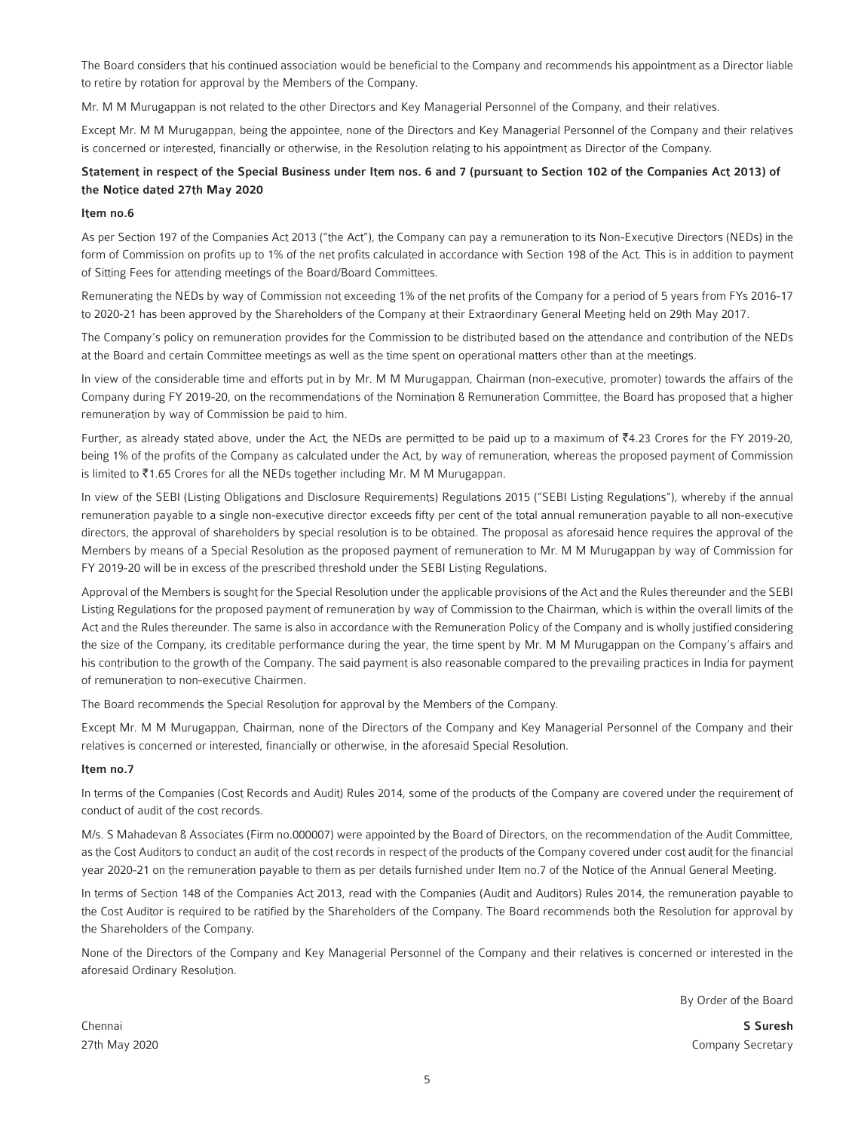The Board considers that his continued association would be beneficial to the Company and recommends his appointment as a Director liable to retire by rotation for approval by the Members of the Company.

Mr. M M Murugappan is not related to the other Directors and Key Managerial Personnel of the Company, and their relatives.

Except Mr. M M Murugappan, being the appointee, none of the Directors and Key Managerial Personnel of the Company and their relatives is concerned or interested, financially or otherwise, in the Resolution relating to his appointment as Director of the Company.

## Statement in respect of the Special Business under Item nos. 6 and 7 (pursuant to Section 102 of the Companies Act 2013) of the Notice dated 27th May 2020

#### Item no.6

As per Section 197 of the Companies Act 2013 ("the Act"), the Company can pay a remuneration to its Non-Executive Directors (NEDs) in the form of Commission on profits up to 1% of the net profits calculated in accordance with Section 198 of the Act. This is in addition to payment of Sitting Fees for attending meetings of the Board/Board Committees.

Remunerating the NEDs by way of Commission not exceeding 1% of the net profits of the Company for a period of 5 years from FYs 2016-17 to 2020-21 has been approved by the Shareholders of the Company at their Extraordinary General Meeting held on 29th May 2017.

The Company's policy on remuneration provides for the Commission to be distributed based on the attendance and contribution of the NEDs at the Board and certain Committee meetings as well as the time spent on operational matters other than at the meetings.

In view of the considerable time and efforts put in by Mr. M M Murugappan, Chairman (non-executive, promoter) towards the affairs of the Company during FY 2019-20, on the recommendations of the Nomination & Remuneration Committee, the Board has proposed that a higher remuneration by way of Commission be paid to him.

Further, as already stated above, under the Act, the NEDs are permitted to be paid up to a maximum of  $*4.23$  Crores for the FY 2019-20, being 1% of the profits of the Company as calculated under the Act, by way of remuneration, whereas the proposed payment of Commission is limited to  $\bar{z}$ 1.65 Crores for all the NEDs together including Mr. M M Murugappan.

In view of the SEBI (Listing Obligations and Disclosure Requirements) Regulations 2015 ("SEBI Listing Regulations"), whereby if the annual remuneration payable to a single non-executive director exceeds fifty per cent of the total annual remuneration payable to all non-executive directors, the approval of shareholders by special resolution is to be obtained. The proposal as aforesaid hence requires the approval of the Members by means of a Special Resolution as the proposed payment of remuneration to Mr. M M Murugappan by way of Commission for FY 2019-20 will be in excess of the prescribed threshold under the SEBI Listing Regulations.

Approval of the Members is sought for the Special Resolution under the applicable provisions of the Act and the Rules thereunder and the SEBI Listing Regulations for the proposed payment of remuneration by way of Commission to the Chairman, which is within the overall limits of the Act and the Rules thereunder. The same is also in accordance with the Remuneration Policy of the Company and is wholly justified considering the size of the Company, its creditable performance during the year, the time spent by Mr. M M Murugappan on the Company's affairs and his contribution to the growth of the Company. The said payment is also reasonable compared to the prevailing practices in India for payment of remuneration to non-executive Chairmen.

The Board recommends the Special Resolution for approval by the Members of the Company.

Except Mr. M M Murugappan, Chairman, none of the Directors of the Company and Key Managerial Personnel of the Company and their relatives is concerned or interested, financially or otherwise, in the aforesaid Special Resolution.

#### Item no.7

In terms of the Companies (Cost Records and Audit) Rules 2014, some of the products of the Company are covered under the requirement of conduct of audit of the cost records.

M/s. S Mahadevan & Associates (Firm no.000007) were appointed by the Board of Directors, on the recommendation of the Audit Committee, as the Cost Auditors to conduct an audit of the cost records in respect of the products of the Company covered under cost audit for the financial year 2020-21 on the remuneration payable to them as per details furnished under Item no.7 of the Notice of the Annual General Meeting.

In terms of Section 148 of the Companies Act 2013, read with the Companies (Audit and Auditors) Rules 2014, the remuneration payable to the Cost Auditor is required to be ratified by the Shareholders of the Company. The Board recommends both the Resolution for approval by the Shareholders of the Company.

None of the Directors of the Company and Key Managerial Personnel of the Company and their relatives is concerned or interested in the aforesaid Ordinary Resolution.

By Order of the Board

Chennai **S Suresh and Search and Search and Search and S Suresh and S Suresh and S Suresh and S Suresh and S Suresh and S Suresh and S Suresh and S Suresh and S Suresh and S Suresh and S Suresh and S Suresh and S Suresh an** 27th May 2020 **Company Secretary** Company Secretary **Company Secretary** Company Secretary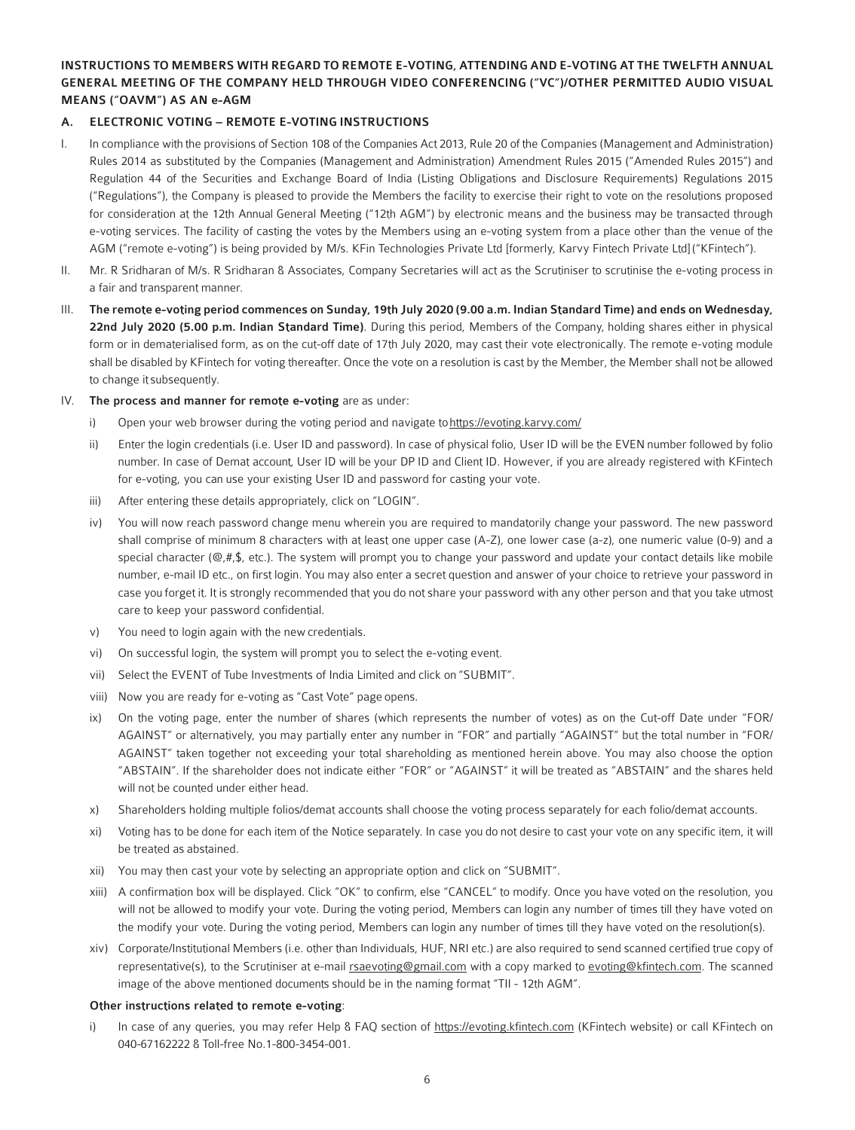## INSTRUCTIONS TO MEMBERS WITH REGARD TO REMOTE E-VOTING, ATTENDING AND E-VOTING AT THE TWELFTH ANNUAL GENERAL MEETING OF THE COMPANY HELD THROUGH VIDEO CONFERENCING ("VC")/OTHER PERMITTED AUDIO VISUAL MEANS ("OAVM") AS AN e-AGM

## A. ELECTRONIC VOTING – REMOTE E-VOTING INSTRUCTIONS

- I. In compliance with the provisions of Section 108 of the Companies Act 2013, Rule 20 of the Companies (Management and Administration) Rules 2014 as substituted by the Companies (Management and Administration) Amendment Rules 2015 ("Amended Rules 2015") and Regulation 44 of the Securities and Exchange Board of India (Listing Obligations and Disclosure Requirements) Regulations 2015 ("Regulations"), the Company is pleased to provide the Members the facility to exercise their right to vote on the resolutions proposed for consideration at the 12th Annual General Meeting ("12th AGM") by electronic means and the business may be transacted through e-voting services. The facility of casting the votes by the Members using an e-voting system from a place other than the venue of the AGM ("remote e-voting") is being provided by M/s. KFin Technologies Private Ltd [formerly, Karvy Fintech Private Ltd] ("KFintech").
- II. Mr. R Sridharan of M/s. R Sridharan & Associates, Company Secretaries will act as the Scrutiniser to scrutinise the e-voting process in a fair and transparent manner.
- III. The remote e-voting period commences on Sunday, 19th July 2020 (9.00 a.m. Indian Standard Time) and ends on Wednesday, 22nd July 2020 (5.00 p.m. Indian Standard Time). During this period, Members of the Company, holding shares either in physical form or in dematerialised form, as on the cut-off date of 17th July 2020, may cast their vote electronically. The remote e-voting module shall be disabled by KFintech for voting thereafter. Once the vote on a resolution is cast by the Member, the Member shall not be allowed to change it subsequently.
- IV. The process and manner for remote e-voting are as under:
	- i) Open your web browser during the voting period and navigate to https://evoting.karvy.com/
	- ii) Enter the login credentials (i.e. User ID and password). In case of physical folio, User ID will be the EVEN number followed by folio number. In case of Demat account, User ID will be your DP ID and Client ID. However, if you are already registered with KFintech for e-voting, you can use your existing User ID and password for casting your vote.
	- iii) After entering these details appropriately, click on "LOGIN".
	- iv) You will now reach password change menu wherein you are required to mandatorily change your password. The new password shall comprise of minimum 8 characters with at least one upper case (A-Z), one lower case (a-z), one numeric value (0-9) and a special character ( $@$ ,#,\$, etc.). The system will prompt you to change your password and update your contact details like mobile number, e-mail ID etc., on first login. You may also enter a secret question and answer of your choice to retrieve your password in case you forget it. It is strongly recommended that you do not share your password with any other person and that you take utmost care to keep your password confidential.
	- v) You need to login again with the new credentials.
	- vi) On successful login, the system will prompt you to select the e-voting event.
	- vii) Select the EVENT of Tube Investments of India Limited and click on "SUBMIT".
	- viii) Now you are ready for e-voting as "Cast Vote" page opens.
	- ix) On the voting page, enter the number of shares (which represents the number of votes) as on the Cut-off Date under "FOR/ AGAINST" or alternatively, you may partially enter any number in "FOR" and partially "AGAINST" but the total number in "FOR/ AGAINST" taken together not exceeding your total shareholding as mentioned herein above. You may also choose the option "ABSTAIN". If the shareholder does not indicate either "FOR" or "AGAINST" it will be treated as "ABSTAIN" and the shares held will not be counted under either head.
	- x) Shareholders holding multiple folios/demat accounts shall choose the voting process separately for each folio/demat accounts.
	- xi) Voting has to be done for each item of the Notice separately. In case you do not desire to cast your vote on any specific item, it will be treated as abstained.
	- xii) You may then cast your vote by selecting an appropriate option and click on "SUBMIT".
	- xiii) A confirmation box will be displayed. Click "OK" to confirm, else "CANCEL" to modify. Once you have voted on the resolution, you will not be allowed to modify your vote. During the voting period, Members can login any number of times till they have voted on the modify your vote. During the voting period, Members can login any number of times till they have voted on the resolution(s).
	- xiv) Corporate/Institutional Members (i.e. other than Individuals, HUF, NRI etc.) are also required to send scanned certified true copy of representative(s), to the Scrutiniser at e-mail rsaevoting@gmail.com with a copy marked to evoting@kfintech.com. The scanned image of the above mentioned documents should be in the naming format "TII - 12th AGM".

#### Other instructions related to remote e-voting:

i) In case of any queries, you may refer Help & FAQ section of https://evoting.kfintech.com (KFintech website) or call KFintech on 040-67162222 & Toll-free No.1-800-3454-001.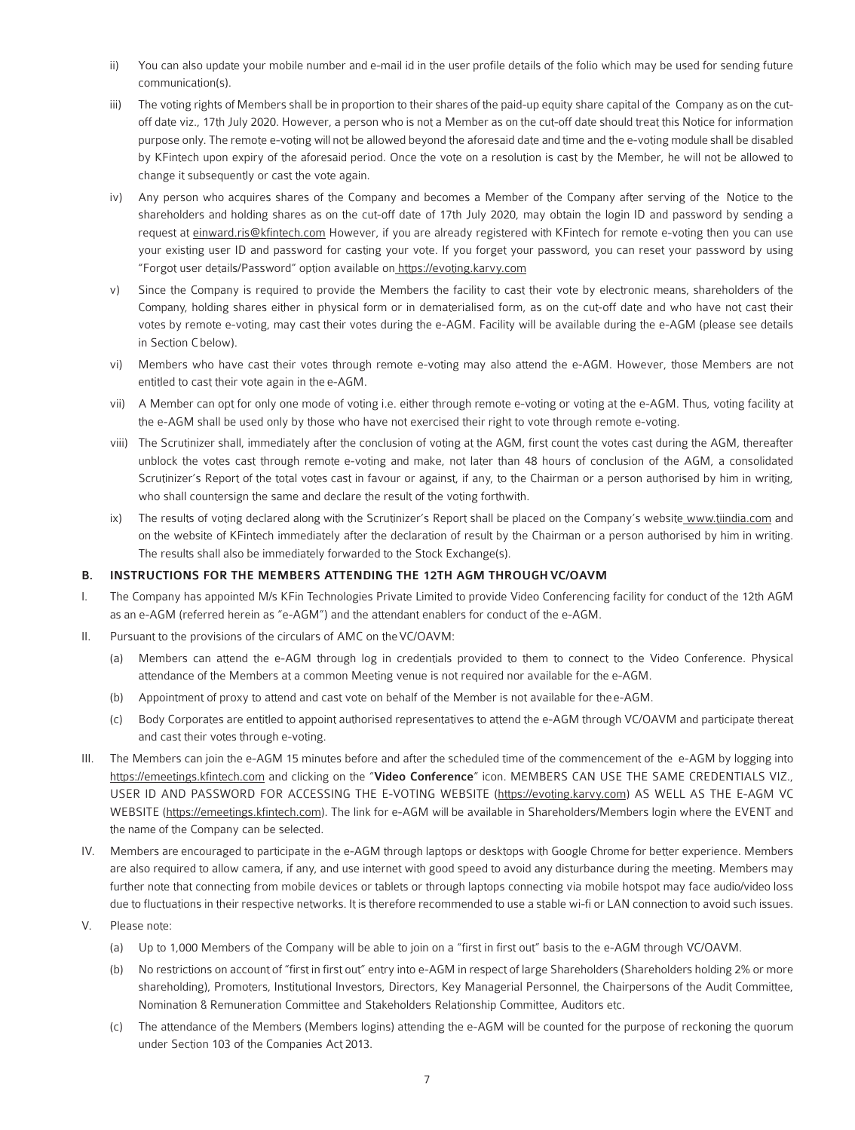- ii) You can also update your mobile number and e-mail id in the user profile details of the folio which may be used for sending future communication(s).
- iii) The voting rights of Members shall be in proportion to their shares of the paid-up equity share capital of the Company as on the cutoff date viz., 17th July 2020. However, a person who is not a Member as on the cut-off date should treat this Notice for information purpose only. The remote e-voting will not be allowed beyond the aforesaid date and time and the e-voting module shall be disabled by KFintech upon expiry of the aforesaid period. Once the vote on a resolution is cast by the Member, he will not be allowed to change it subsequently or cast the vote again.
- iv) Any person who acquires shares of the Company and becomes a Member of the Company after serving of the Notice to the shareholders and holding shares as on the cut-off date of 17th July 2020, may obtain the login ID and password by sending a request at einward.ris@kfintech.com However, if you are already registered with KFintech for remote e-voting then you can use your existing user ID and password for casting your vote. If you forget your password, you can reset your password by using "Forgot user details/Password" option available on https://evoting.karvy.com
- v) Since the Company is required to provide the Members the facility to cast their vote by electronic means, shareholders of the Company, holding shares either in physical form or in dematerialised form, as on the cut-off date and who have not cast their votes by remote e-voting, may cast their votes during the e-AGM. Facility will be available during the e-AGM (please see details in Section C below).
- vi) Members who have cast their votes through remote e-voting may also attend the e-AGM. However, those Members are not entitled to cast their vote again in the e-AGM.
- vii) A Member can opt for only one mode of voting i.e. either through remote e-voting or voting at the e-AGM. Thus, voting facility at the e-AGM shall be used only by those who have not exercised their right to vote through remote e-voting.
- viii) The Scrutinizer shall, immediately after the conclusion of voting at the AGM, first count the votes cast during the AGM, thereafter unblock the votes cast through remote e-voting and make, not later than 48 hours of conclusion of the AGM, a consolidated Scrutinizer's Report of the total votes cast in favour or against, if any, to the Chairman or a person authorised by him in writing, who shall countersign the same and declare the result of the voting forthwith.
- ix) The results of voting declared along with the Scrutinizer's Report shall be placed on the Company's website www.tiindia.com and on the website of KFintech immediately after the declaration of result by the Chairman or a person authorised by him in writing. The results shall also be immediately forwarded to the Stock Exchange(s).

## B. INSTRUCTIONS FOR THE MEMBERS ATTENDING THE 12TH AGM THROUGH VC/OAVM

- I. The Company has appointed M/s KFin Technologies Private Limited to provide Video Conferencing facility for conduct of the 12th AGM as an e-AGM (referred herein as "e-AGM") and the attendant enablers for conduct of the e-AGM.
- II. Pursuant to the provisions of the circulars of AMC on the VC/OAVM:
	- (a) Members can attend the e-AGM through log in credentials provided to them to connect to the Video Conference. Physical attendance of the Members at a common Meeting venue is not required nor available for the e-AGM.
	- (b) Appointment of proxy to attend and cast vote on behalf of the Member is not available for the e-AGM.
	- (c) Body Corporates are entitled to appoint authorised representatives to attend the e-AGM through VC/OAVM and participate thereat and cast their votes through e-voting.
- III. The Members can join the e-AGM 15 minutes before and after the scheduled time of the commencement of the e-AGM by logging into https://emeetings.kfintech.com and clicking on the "Video Conference" icon. MEMBERS CAN USE THE SAME CREDENTIALS VIZ., USER ID AND PASSWORD FOR ACCESSING THE E-VOTING WEBSITE (https://evoting.karvy.com) AS WELL AS THE E-AGM VC WEBSITE (https://emeetings.kfintech.com). The link for e-AGM will be available in Shareholders/Members login where the EVENT and the name of the Company can be selected.
- IV. Members are encouraged to participate in the e-AGM through laptops or desktops with Google Chrome for better experience. Members are also required to allow camera, if any, and use internet with good speed to avoid any disturbance during the meeting. Members may further note that connecting from mobile devices or tablets or through laptops connecting via mobile hotspot may face audio/video loss due to fluctuations in their respective networks. It is therefore recommended to use a stable wi-fi or LAN connection to avoid such issues.
- V. Please note:
	- (a) Up to 1,000 Members of the Company will be able to join on a "first in first out" basis to the e-AGM through VC/OAVM.
	- (b) No restrictions on account of "first in first out" entry into e-AGM in respect of large Shareholders (Shareholders holding 2% or more shareholding), Promoters, Institutional Investors, Directors, Key Managerial Personnel, the Chairpersons of the Audit Committee, Nomination & Remuneration Committee and Stakeholders Relationship Committee, Auditors etc.
	- (c) The attendance of the Members (Members logins) attending the e-AGM will be counted for the purpose of reckoning the quorum under Section 103 of the Companies Act 2013.